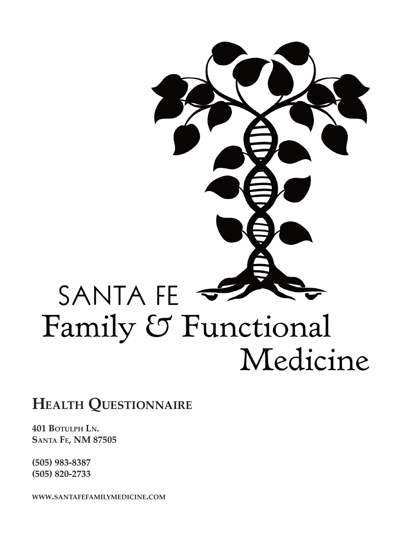# SANTA FE Family & Functional Medicine

## **Health Questionnaire**

**401 Botulph Ln. Santa Fe, NM 87505**

**(505) 983-8387 (505) 820-2733**

**www.santafefamilymedicine.com**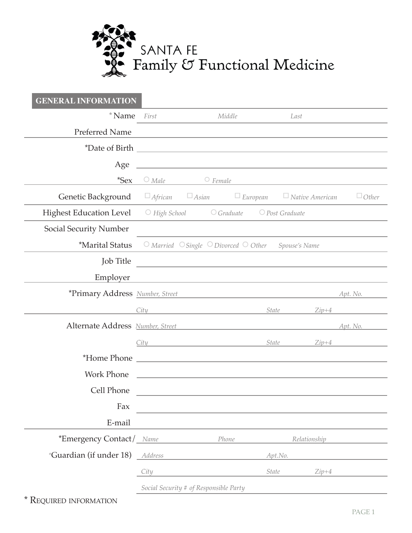

| <b>GENERAL INFORMATION</b>       |                 |                                                                                                                  |        |              |                        |              |
|----------------------------------|-----------------|------------------------------------------------------------------------------------------------------------------|--------|--------------|------------------------|--------------|
| $*$ Name                         | First           |                                                                                                                  | Middle |              | Last                   |              |
| <b>Preferred Name</b>            |                 |                                                                                                                  |        |              |                        |              |
|                                  |                 |                                                                                                                  |        |              |                        |              |
| Age                              |                 | <u> 1989 - Johann Barn, amerikansk politiker (d. 1989)</u>                                                       |        |              |                        |              |
| $*$ Sex                          | $\bigcirc$ Male | $\circ$ Female                                                                                                   |        |              |                        |              |
| Genetic Background               |                 | $\Box$ African $\Box$ Asian $\Box$ European                                                                      |        |              | $\Box$ Native American | $\Box$ Other |
| <b>Highest Education Level</b>   |                 | $\bigcirc$ High School $\bigcirc$ Graduate $\bigcirc$ Post Graduate                                              |        |              |                        |              |
| <b>Social Security Number</b>    |                 |                                                                                                                  |        |              |                        |              |
| <i><b>*Marital Status</b></i>    |                 | $\circ$ Married $\circ$ Single $\circ$ Divorced $\circ$ Other Spouse's Name                                      |        |              |                        |              |
| <b>Job</b> Title                 |                 | <u> 1989 - John Stein, Amerikaansk politiker (* 1908)</u>                                                        |        |              |                        |              |
| Employer                         |                 | and the control of the control of the control of the control of the control of the control of the control of the |        |              |                        |              |
| *Primary Address Number, Street  |                 | <u> 1989 - Johann Barbara, martxa alemaniar arg</u>                                                              |        |              |                        | Apt. No.     |
|                                  | City            | <u>State</u>                                                                                                     |        |              | $Zip+4$                |              |
| Alternate Address Number, Street |                 |                                                                                                                  |        |              |                        | Apt. No.     |
|                                  |                 |                                                                                                                  |        | State        | $Zip+4$                |              |
| <i>*Home Phone</i>               |                 | <u> 1989 - Andrea Andrew Maria (h. 1989).</u>                                                                    |        |              |                        |              |
| <b>Work Phone</b>                |                 | the contract of the contract of the contract of the contract of the contract of the contract of the              |        |              |                        |              |
| Cell Phone                       |                 |                                                                                                                  |        |              |                        |              |
| Fax                              |                 |                                                                                                                  |        |              |                        |              |
| E-mail                           |                 |                                                                                                                  |        |              |                        |              |
| *Emergency Contact / Name        |                 |                                                                                                                  | Phone  |              | Relationship           |              |
| *Guardian (if under 18) Address  |                 |                                                                                                                  |        | Apt.No.      |                        |              |
|                                  | City            |                                                                                                                  |        | <b>State</b> | $Zip+4$                |              |
|                                  |                 | Social Security # of Responsible Party                                                                           |        |              |                        |              |

 \* Required information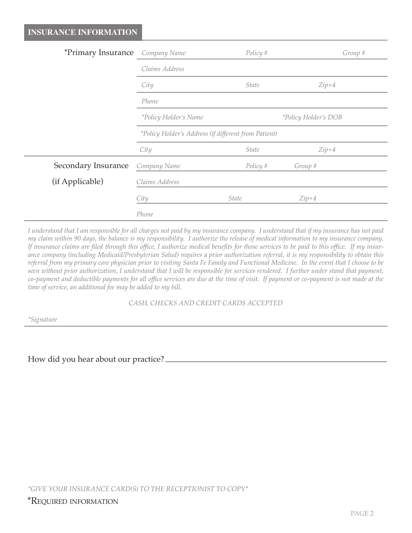| <i>*Primary Insurance Company Name</i> |                                                      | Policy #     | Group #                     |
|----------------------------------------|------------------------------------------------------|--------------|-----------------------------|
|                                        | Claims Address                                       |              |                             |
|                                        | City                                                 | <i>State</i> | $Zip+4$                     |
|                                        | Phone                                                |              |                             |
|                                        | *Policy Holder's Name                                |              | <i>*Policy Holder's DOB</i> |
|                                        | *Policy Holder's Address (if different from Patient) |              |                             |
|                                        | City                                                 | <i>State</i> | $Zip+4$                     |
| Secondary Insurance                    | Company Name                                         | Policy #     | Group #                     |
| (if Applicable)                        | Claims Address                                       |              |                             |
|                                        | City                                                 | <i>State</i> | $Zip+4$                     |
|                                        | Phone                                                |              |                             |

*I understand that I am responsible for all charges not paid by my insurance company. I understand that if my insurance has not paid my claim within 90 days, the balance is my responsibility. I authorize the release of medical information to my insurance company. If insurance claims are filed through this office, I authorize medical benefits for those services to be paid to this office. If my insurance company (including Medicaid/Presbyterian Salud) requires a prior authorization referral, it is my responsibility to obtain this referral from my primary care physician prior to visiting Santa Fe Family and Functional Medicine. In the event that I choose to be seen without prior authorization, I understand that I will be responsible for services rendered. I further under stand that payment, co-payment and deductible payments for all office services are due at the time of visit. If payment or co-payment is not made at the time of service, an additional fee may be added to my bill.*

*CASH, CHECKS AND CREDIT CARDS ACCEPTED*

*\*Signature*

How did you hear about our practice?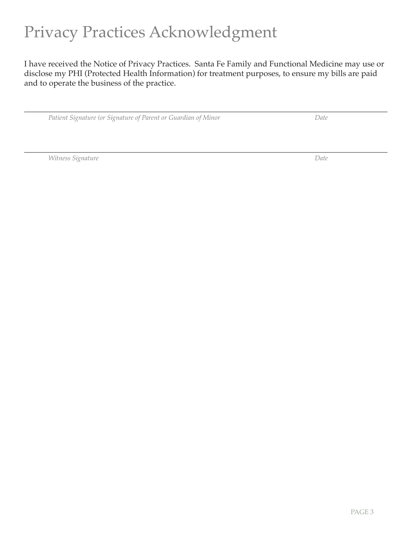# Privacy Practices Acknowledgment

I have received the Notice of Privacy Practices. Santa Fe Family and Functional Medicine may use or disclose my PHI (Protected Health Information) for treatment purposes, to ensure my bills are paid and to operate the business of the practice.

*Patient Signature (or Signature of Parent or Guardian of Minor Date*

*Witness Signature Date*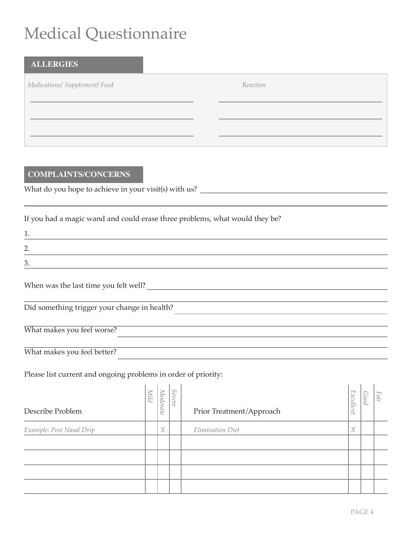# Medical Questionnaire

| <b>ALLERGIES</b>                                                                                    |                     |  |
|-----------------------------------------------------------------------------------------------------|---------------------|--|
| Medications/ Supplement/ Food                                                                       | Reaction            |  |
|                                                                                                     |                     |  |
|                                                                                                     |                     |  |
|                                                                                                     |                     |  |
|                                                                                                     |                     |  |
|                                                                                                     |                     |  |
| <b>COMPLAINTS/CONCERNS</b>                                                                          |                     |  |
|                                                                                                     |                     |  |
|                                                                                                     |                     |  |
| If you had a magic wand and could erase three problems, what would they be?                         |                     |  |
| 1.<br>the control of the control of the control of the control of the control of                    |                     |  |
| 2.                                                                                                  |                     |  |
| 3.                                                                                                  |                     |  |
|                                                                                                     |                     |  |
| When was the last time you felt well?<br><u> </u>                                                   |                     |  |
| Did something trigger your change in health?<br><u>Did something trigger your change in health?</u> |                     |  |
|                                                                                                     |                     |  |
| What makes you feel worse?                                                                          |                     |  |
| What makes you feel better?                                                                         |                     |  |
| Please list current and ongoing problems in order of priority:                                      |                     |  |
| $\vert \vert$ $\vert$ $\vert$ $\vert$ $\vert$ $\vert$ $\vert$ $\vert$                               | $\lfloor - \rfloor$ |  |
|                                                                                                     |                     |  |

| Describe Problem         | Nild | Moderate | Severe | Prior Treatment/Approach | Excellent        | Pood | Fair |
|--------------------------|------|----------|--------|--------------------------|------------------|------|------|
| Example: Post Nasal Drip |      | X        |        | Elimination Diet         | $\boldsymbol{X}$ |      |      |
|                          |      |          |        |                          |                  |      |      |
|                          |      |          |        |                          |                  |      |      |
|                          |      |          |        |                          |                  |      |      |
|                          |      |          |        |                          |                  |      |      |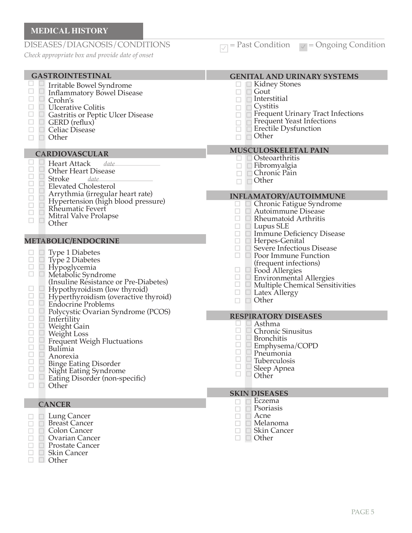#### **MEDICAL HISTORY** DISEASES/DIAGNOSIS/CONDITIONS  $\Box$  Past Condition  $\Box$  = Ongoing Condition *Check appropriate box and provide date of onset* GASTROINTESTINAL **GENITAL AND URINARY SYSTEMS**  $\Box$  Kidney Stones Irritable Bowel Syndrome  $\Box$  Inflammatory Bowel Disease  $\Box$ Gout  $\Box$   $\Box$ Interstitial Crohn's  $\Box$  $\Box$  Ulcerative Colitis Cystitis  $\Box$  $\Box$  $\Box$ Gastritis or Peptic Ulcer Disease  $\Box$  $\overline{\overline{a}}$  $\Box$  GERD (reflux)  $\Box$   $\Box$  Celiac Disease Erectile Dysfunction  $\Box$ Other  $\Box$  Other  $\Gamma$ **CARDIOVASCULAR**<br> **E E Heart Attack** da  $\Box$   $\Box$  Osteoarthritis Heart Attack *date*   $\Box$  Fibromyalgia  $\frac{\Box}{\Box}$ Other Heart Disease  $\Box$   $\Box$  Chronic Pain Stroke *date*  $\Box$   $\Box$  Other  $\Box$ Elevated Cholesterol  $\Box$ Arrythmia (irregular heart rate)  $\Box$ Hypertension (high blood pressure)  $\Box$ Rheumatic Fevert  $\Box$ Autoimmune Disease  $\Box$ Mitral Valve Prolapse  $\Box$  $\Box$  Rheumatoid Arthritis  $\Box$ Other  $\Box$   $\Box$  Lupus SLE **METABOLIC/ENDOCRINE** Herpes-Genital  $\Box$  $\Box$   $\Box$ Type 1 Diabetes  $\Box$  $\Box$  $\Box$   $\Box$ Type 2 Diabetes (frequent infections)  $\Box$  Hypoglycemia  $\Box$ Food Allergies  $\Box$  Metabolic Syndrome

- (Insuline Resistance or Pre-Diabetes)
- $\Box$ Hypothyroidism (low thyroid)  $\Box$
- Hyperthyroidism (overactive thyroid)  $\Box$   $\Box$
- Endocrine Problems
- $\Box$  Polycystic Ovarian Syndrome (PCOS)
- $\Box$  $\Box$  Infertility
- $\Box$ Weight Gain
- $\Box$ Weight Loss  $\Box$
- $\Box$ Frequent Weigh Fluctuations  $\Box$  $\Box$
- Bulimia  $\Box$  $\Box$
- Anorexia  $\Box$  $\Box$
- Binge Eating Disorder  $\Box$ 
	- Night Eating Syndrome
- $\Box$   $\Box$  Eating Disorder (non-specific)<br> $\Box$   $\Box$  Other
	- **Other**

## **CANCER**

- **□ Lung Cancer**  $\Box$
- □ Breast Cancer  $\Box$
- $\Box$ □ Colon Cancer  $\Box$ □ Ovarian Cancer
- $\Box$ □ Prostate Cancer
	- □ Skin Cancer
- 0  $\Box$   $\Box$  Other

## Frequent Urinary Tract Infections Frequent Yeast Infections **MUSCULOSKELETAL PAIN INFLAMATORY/AUTOIMMUNE**<br> **<u>E E** Chronic Fatigue Syndrome</u> Chronic Fatigue Syndrome  $\Box$   $\Box$  Immune Deficiency Disease<br> $\Box$   $\Box$  Herpes-Genital Severe Infectious Disease Poor Immune Function  $\frac{\Box}{\Box}$  $\Box$ Environmental Allergies  $\Box$   $\Box$ Multiple Chemical Sensitivities  $\Box$  Latex Allergy  $\Box$  Other **RESPIRATORY DISEASES** Asthma E Chronic Sinusitus  $\Box$ L Bronchitis  $\Box$ E Emphysema/COPD  $\Box$  $\Box$ Pneumonia  $\Box$ Tuberculosis  $\Box$ Sleep Apnea  $\Box$  $\Box$  Other

**SKIN DISEASES**

- Eczema
- $\Box$ Psoriasis Acne
- $\Box$ Melanoma  $\Box$
- □. □ Skin Cancer

## □ Other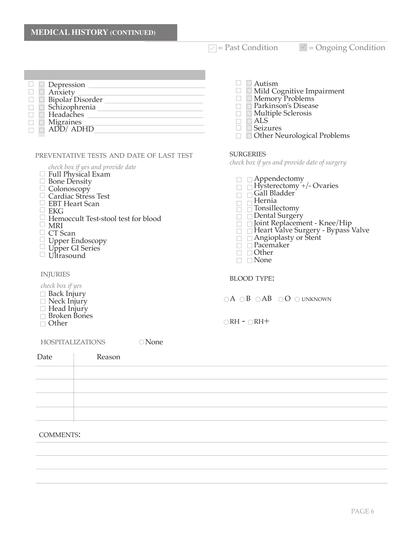$\sqrt{ }$  = Past Condition  $\sqrt{ }$  = Ongoing Condition

|  | Depression<br>Anxiety  |
|--|------------------------|
|  | Bipolar Disorder       |
|  | Schizophrenia          |
|  | Headaches              |
|  | Migraines<br>ADD/ ADHD |
|  |                        |
|  |                        |

### preventative tests and date of last test

*check box if yes and provide date*

- $\Box$  Full Physical Exam
- $\Box$  Bone Density
- Colonoscopy
- □ Cardiac Stress Test
- □ EBT Heart Scan
- $\Box$  EKG
- Hemoccult Test-stool test for blood

HOSPITALIZATIONS ONone

- $\Box$  MRI
- CT Scan
- Upper Endoscopy
- Upper GI Series
- $\Box$  Ultrasound

#### **INJURIES**

#### *check box if yes*

- $\Box$  Back Injury
- $\Box$  Neck Injury
- □ Head Injury
- Broken Bones
- Other

## $\Box$  Autism

- $\Box$  Mild Cognitive Impairment
- $\Box$  Memory Problems
- Parkinson's Disease
- Multiple Sclerosis
- $\overline{\phantom{a}}$ ALS
- Seizures
- □ Other Neurological Problems

#### **SURGERIES**

*check box if yes and provide date of surgery*

- $\Box$  Appendectomy
- $\Box$  Hysterectomy +/- Ovaries
- $\Box$  Gall Bladder
- Hernia **BE**
- $\Box$ Tonsillectomy
- $\Box$   $\Box$  Dental Surgery
- $\Box$   $\Box$  Joint Replacement Knee/Hip
- $\Box$  Heart Valve Surgery Bypass Valve
- Angioplasty or Stent
- Pacemaker
- $\Box$   $\Box$  Other
- $\Box$   $\Box$  None

#### BLOOD TYPE:

 $\bigcirc A \bigcirc B \bigcirc AB \bigcirc O \bigcirc UNKNOWN$ 

 $\bigcirc$ RH -  $\bigcirc$ RH+

| Date | Reason |  |  |  |
|------|--------|--|--|--|
|      |        |  |  |  |
|      |        |  |  |  |
|      |        |  |  |  |
|      |        |  |  |  |

#### COMMENTS: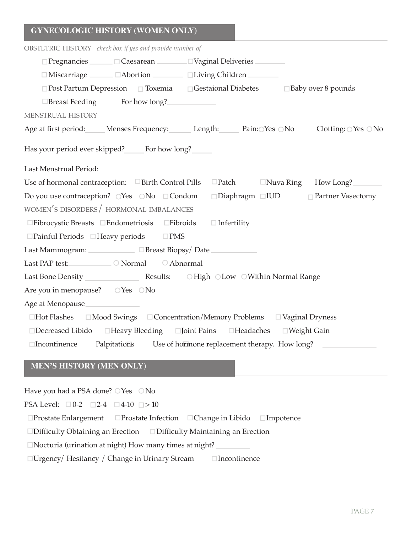| <b>OBSTETRIC HISTORY</b> check box if yes and provide number of                                   |                                                                                |  |  |  |  |  |  |  |
|---------------------------------------------------------------------------------------------------|--------------------------------------------------------------------------------|--|--|--|--|--|--|--|
| $\Box$ Pregnancies $\Box$ $\Box$ Caesarean $\Box$ $\Box$ Vaginal Deliveries $\Box$                |                                                                                |  |  |  |  |  |  |  |
| □ Miscarriage <u>Cabortion</u> CLiving Children                                                   |                                                                                |  |  |  |  |  |  |  |
| $\Box$ Post Partum Depression $\Box$ Toxemia $\Box$ Gestaional Diabetes $\Box$ Baby over 8 pounds |                                                                                |  |  |  |  |  |  |  |
| □Breast Feeding For how long?                                                                     |                                                                                |  |  |  |  |  |  |  |
| MENSTRUAL HISTORY                                                                                 |                                                                                |  |  |  |  |  |  |  |
| Age at first period: Menses Frequency: Length: Pain: Yes ONo                                      | Clotting: $\bigcirc$ Yes $\bigcirc$ No                                         |  |  |  |  |  |  |  |
| Has your period ever skipped? For how long?                                                       |                                                                                |  |  |  |  |  |  |  |
| Last Menstrual Period:                                                                            |                                                                                |  |  |  |  |  |  |  |
| Use of hormonal contraception: $\Box$ Birth Control Pills                                         | □Patch □Nuva Ring How Long?                                                    |  |  |  |  |  |  |  |
|                                                                                                   | Do you use contraception? OYes ONo □Condom □Diaphragm □IUD □ Partner Vasectomy |  |  |  |  |  |  |  |
| WOMEN'S DISORDERS / HORMONAL IMBALANCES                                                           |                                                                                |  |  |  |  |  |  |  |
| $\Box$ Fibrocystic Breasts $\Box$ Endometriosis $\Box$ Fibroids                                   | $\Box$ Infertility                                                             |  |  |  |  |  |  |  |
| $\square$ Painful Periods $\square$ Heavy periods $\square$ PMS                                   |                                                                                |  |  |  |  |  |  |  |
| Last Mammogram: <u>DBreast Biopsy</u> /Date                                                       |                                                                                |  |  |  |  |  |  |  |
| Last PAP test: <u>Capacity</u> O Normal C Abnormal                                                |                                                                                |  |  |  |  |  |  |  |
|                                                                                                   |                                                                                |  |  |  |  |  |  |  |
| Are you in menopause? OYes ONo                                                                    |                                                                                |  |  |  |  |  |  |  |
| Age at Menopause                                                                                  |                                                                                |  |  |  |  |  |  |  |
| $\Box$ Hot Flashes $\Box$ Mood Swings $\Box$ Concentration/Memory Problems $\Box$ Vaginal Dryness |                                                                                |  |  |  |  |  |  |  |
| □Decreased Libido □Heavy Bleeding □Joint Pains □Headaches □Weight Gain                            |                                                                                |  |  |  |  |  |  |  |
| □Incontinence Palpitations Use of hormone replacement therapy. How long? △                        |                                                                                |  |  |  |  |  |  |  |
|                                                                                                   |                                                                                |  |  |  |  |  |  |  |

## **MEN'S HISTORY (MEN ONLY)**

Have you had a PSA done?  $\bigcirc$  Yes  $\bigcirc$  No PSA Level:  $\Box 0-2$   $\Box 2-4$   $\Box 4-10$   $\Box > 10$  $\square$ Prostate Enlargement  $\square$ Prostate Infection  $\square$ Change in Libido  $\square$ Impotence  $\square$ Difficulty Obtaining an Erection  $\square$  Difficulty Maintaining an Erection Nocturia (urination at night) How many times at night?  $\Box$ Urgency/ Hesitancy / Change in Urinary Stream  $\Box$ Incontinence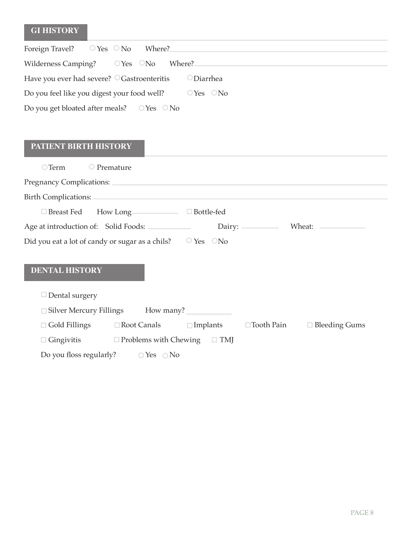## **GI HISTORY**

| Foreign Travel? $OY$ es $ON$ o Where?                  |                        |
|--------------------------------------------------------|------------------------|
| Wilderness Camping? $\qquad$ $\qquad$ Yes $\qquad$ No  | Where?                 |
| Have you ever had severe? $\bigcirc$ Gastroenteritis   | $\bigcirc$ Diarrhea    |
| Do you feel like you digest your food well?            | $\circ$ Yes $\circ$ No |
| Do you get bloated after meals? $\circ$ Yes $\circ$ No |                        |

## **PATIENT BIRTH HISTORY**

| $\bigcirc$ Term                                                        | $\bigcirc$ Premature                              |                 |                   |                      |
|------------------------------------------------------------------------|---------------------------------------------------|-----------------|-------------------|----------------------|
|                                                                        |                                                   |                 |                   |                      |
| Birth Complications:                                                   |                                                   |                 |                   |                      |
|                                                                        |                                                   |                 |                   |                      |
| Age at introduction of: Solid Foods:                                   |                                                   |                 |                   | Dairy: Wheat:        |
| Did you eat a lot of candy or sugar as a chils? $\circ$ Yes $\circ$ No |                                                   |                 |                   |                      |
| <b>DENTAL HISTORY</b>                                                  |                                                   |                 |                   |                      |
| $\Box$ Dental surgery                                                  |                                                   |                 |                   |                      |
|                                                                        | □ Silver Mercury Fillings How many? _____________ |                 |                   |                      |
|                                                                        | $\Box$ Gold Fillings $\Box$ Root Canals           | $\Box$ Implants | $\Box$ Tooth Pain | $\Box$ Bleeding Gums |
| $\Box$ Gingivitis                                                      | $\Box$ Problems with Chewing $\Box$ TMJ           |                 |                   |                      |

Do you floss regularly?  $\bigcirc$  Yes  $\bigcirc$  No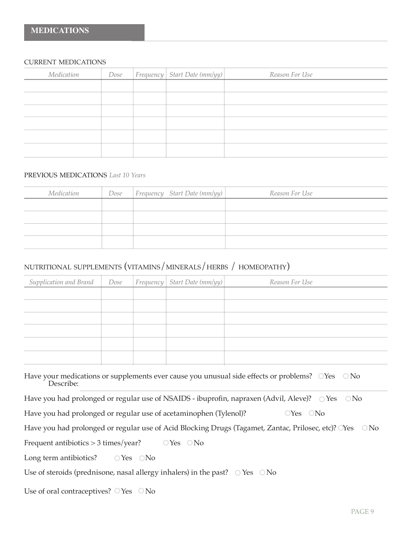#### current medications

| Dose |  | Reason For Use                   |
|------|--|----------------------------------|
|      |  |                                  |
|      |  |                                  |
|      |  |                                  |
|      |  |                                  |
|      |  |                                  |
|      |  |                                  |
|      |  | $ F$ requency Start Date (mm/yy) |

## previous medications *Last 10 Years*

| Medication | Dose | $ Frequency \quad Start \ Date \ (mm/yy)  $ | Reason For Use |
|------------|------|---------------------------------------------|----------------|
|            |      |                                             |                |
|            |      |                                             |                |
|            |      |                                             |                |
|            |      |                                             |                |
|            |      |                                             |                |

## nutritional supplements (vitamins/minerals/herbs / homeopathy)

| Supplication and Brand |  | $Dose$ Frequency Start Date (mm/yy) | Reason For Use |
|------------------------|--|-------------------------------------|----------------|
|                        |  |                                     |                |
|                        |  |                                     |                |
|                        |  |                                     |                |
|                        |  |                                     |                |
|                        |  |                                     |                |
|                        |  |                                     |                |

| Have your medications or supplements ever cause you unusual side effects or problems? OYes ONo |  |
|------------------------------------------------------------------------------------------------|--|
| Describe:                                                                                      |  |

|  |  |  | Have you had prolonged or regular use of NSAIDS - ibuprofin, napraxen (Advil, Aleve)? O Yes O No |  |
|--|--|--|--------------------------------------------------------------------------------------------------|--|
|  |  |  |                                                                                                  |  |

Have you had prolonged or regular use of acetaminophen (Tylenol)?  $\qquad \qquad$   $\qquad$   $\qquad$   $\qquad$   $\qquad$   $\qquad$   $\qquad$   $\qquad$   $\qquad$   $\qquad$   $\qquad$   $\qquad$   $\qquad$   $\qquad$   $\qquad$   $\qquad$   $\qquad$   $\qquad$   $\qquad$   $\qquad$   $\qquad$   $\qquad$   $\qquad$   $\qquad$   $\qquad$   $\q$ 

|  | Have you had prolonged or regular use of Acid Blocking Drugs (Tagamet, Zantac, Prilosec, etc)? OYes ONo |  |  |  |  |
|--|---------------------------------------------------------------------------------------------------------|--|--|--|--|
|  |                                                                                                         |  |  |  |  |

Frequent antibiotics  $> 3$  times/year?  $\qquad$   $\qquad$  Yes  $\qquad$  No

Long term antibiotics?  $\bigcirc$  Yes  $\bigcirc$  No

Use of steroids (prednisone, nasal allergy inhalers) in the past?  $\circ$  Yes  $\circ$  No

Use of oral contraceptives?  $\bigcirc$  Yes  $\bigcirc$  No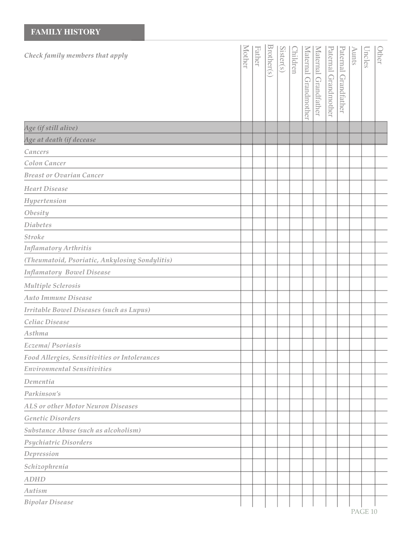#### *Check family members that apply Age at death (if decease Cancers Colon Cancer Breast or Ovarian Cancer Heart Disease Hypertension Obesity Diabetes Stroke (Theumatoid, Psoriatic, Ankylosing Sondylitis) Infamatory Bowel Disease Multiple Sclerosis Auto Immune Disease Irritable Bowel Diseases (such as Lupus) Celiac Disease Asthma Eczema/ Psoriasis Food Allergies, Sensitivities or Intolerances Environmental Sensitivities Dementia Parkinson's ALS or other Motor Neuron Diseases Genetic Disorders Substance Abuse (such as alcoholism) Psychiatric Disorders Depression*  $\leq$ oth er F ath er Broth er(s) Sister(s)  $\bigcap$ hildre n  $\leq$ atern  $\overline{\Xi}$ **Grandm** oth er  $\leq$ atern al Gra n dfath er P atern  $\overline{\Xi}$ Gra n d m oth er P atern al Gra n dfath er A u nts U n cles Oth er *Infamatory Arthritis Age (if still alive)*

PAGE 10

*Bipolar Disease*

*Schizophrenia*

*ADHD Autism*

**FAMILY HISTORY**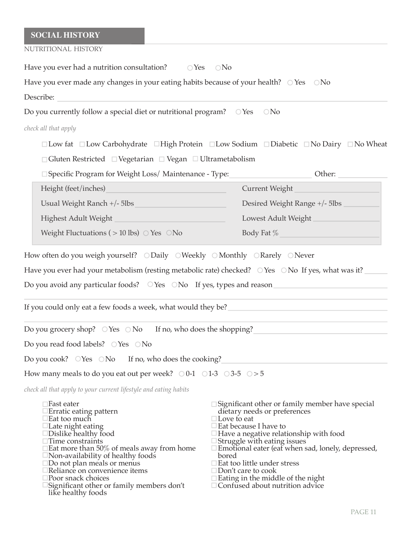## **SOCIAL HISTORY**

| NUTRITIONAL HISTORY                                                                                                                                                                                                                                                                                                                                                                                                     |                                                                                                                                                                                                                                                                                                                                                                                                                                                                                     |
|-------------------------------------------------------------------------------------------------------------------------------------------------------------------------------------------------------------------------------------------------------------------------------------------------------------------------------------------------------------------------------------------------------------------------|-------------------------------------------------------------------------------------------------------------------------------------------------------------------------------------------------------------------------------------------------------------------------------------------------------------------------------------------------------------------------------------------------------------------------------------------------------------------------------------|
| Have you ever had a nutrition consultation?<br>$\bigcirc$ Yes                                                                                                                                                                                                                                                                                                                                                           | $\bigcirc$ No                                                                                                                                                                                                                                                                                                                                                                                                                                                                       |
| Have you ever made any changes in your eating habits because of your health? $\circ$ Yes $\circ$ No                                                                                                                                                                                                                                                                                                                     |                                                                                                                                                                                                                                                                                                                                                                                                                                                                                     |
| Describe:                                                                                                                                                                                                                                                                                                                                                                                                               |                                                                                                                                                                                                                                                                                                                                                                                                                                                                                     |
| Do you currently follow a special diet or nutritional program? O Yes                                                                                                                                                                                                                                                                                                                                                    | $\bigcirc$ No                                                                                                                                                                                                                                                                                                                                                                                                                                                                       |
| check all that apply                                                                                                                                                                                                                                                                                                                                                                                                    |                                                                                                                                                                                                                                                                                                                                                                                                                                                                                     |
|                                                                                                                                                                                                                                                                                                                                                                                                                         | $\Box$ Low fat $\Box$ Low Carbohydrate $\Box$ High Protein $\Box$ Low Sodium $\Box$ Diabetic $\Box$ No Dairy $\Box$ No Wheat                                                                                                                                                                                                                                                                                                                                                        |
| $\Box$ Gluten Restricted $\Box$ Vegetarian $\Box$ Vegan $\Box$ Ultrametabolism                                                                                                                                                                                                                                                                                                                                          |                                                                                                                                                                                                                                                                                                                                                                                                                                                                                     |
| □ Specific Program for Weight Loss/ Maintenance - Type:                                                                                                                                                                                                                                                                                                                                                                 | Other:                                                                                                                                                                                                                                                                                                                                                                                                                                                                              |
| Height (feet/inches)                                                                                                                                                                                                                                                                                                                                                                                                    | Current Weight                                                                                                                                                                                                                                                                                                                                                                                                                                                                      |
| Usual Weight Ranch +/- 5lbs                                                                                                                                                                                                                                                                                                                                                                                             | Desired Weight Range +/- 5lbs                                                                                                                                                                                                                                                                                                                                                                                                                                                       |
| Highest Adult Weight                                                                                                                                                                                                                                                                                                                                                                                                    | Lowest Adult Weight_                                                                                                                                                                                                                                                                                                                                                                                                                                                                |
| Weight Fluctuations ( $> 10$ lbs) $\circ$ Yes $\circ$ No                                                                                                                                                                                                                                                                                                                                                                | Body Fat %                                                                                                                                                                                                                                                                                                                                                                                                                                                                          |
| Do you avoid any particular foods?  OYes  ONo  If yes, types and reason ____________________________<br>If you could only eat a few foods a week, what would they be?                                                                                                                                                                                                                                                   |                                                                                                                                                                                                                                                                                                                                                                                                                                                                                     |
| Do you grocery shop? $\circ$ Yes $\circ$ No<br>If no, who does the shopping?                                                                                                                                                                                                                                                                                                                                            |                                                                                                                                                                                                                                                                                                                                                                                                                                                                                     |
| Do you read food labels? $\bigcirc$ Yes $\bigcirc$ No                                                                                                                                                                                                                                                                                                                                                                   |                                                                                                                                                                                                                                                                                                                                                                                                                                                                                     |
| Do you cook? $OYes$ $ONo$ If no, who does the cooking?                                                                                                                                                                                                                                                                                                                                                                  |                                                                                                                                                                                                                                                                                                                                                                                                                                                                                     |
| How many meals to do you eat out per week? $\circ$ 0-1 $\circ$ 1-3 $\circ$ 3-5 $\circ$ > 5                                                                                                                                                                                                                                                                                                                              |                                                                                                                                                                                                                                                                                                                                                                                                                                                                                     |
| check all that apply to your current lifestyle and eating habits                                                                                                                                                                                                                                                                                                                                                        |                                                                                                                                                                                                                                                                                                                                                                                                                                                                                     |
| $\square$ Fast eater<br>Erratic eating pattern<br>∃Eat too much<br>$\Box$ Late night eating<br>$\Box$ Dislike healthy food<br>$\Box$ Time constraints<br>$\Box$ Eat more than 50% of meals away from home<br>$\Box$ Non-availability of healthy foods<br>$\square$ Do not plan meals or menus<br>Reliance on convenience items<br>Poor snack choices<br>Significant other or family members don't<br>like healthy foods | $\square$ Significant other or family member have special<br>dietary needs or preferences<br>$\Box$ Love to eat<br>$\mathsf{\color{red} \exists}$ Eat because I have to<br>$\Box$ Have a negative relationship with food<br>Struggle with eating issues<br>$\square$ Emotional eater (eat when sad, lonely, depressed,<br>bored<br>$\Box$ Eat too little under stress<br>$\Box$ Don't care to cook<br>$\Box$ Eating in the middle of the night<br>□ Confused about nutrition advice |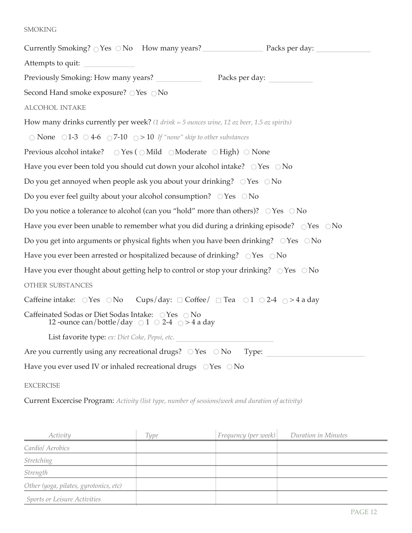### **SMOKING**

Currently Smoking?  $\bigcirc$  Yes  $\bigcirc$  No How many years? Packs per day: Attempts to quit: Previously Smoking: How many years? Packs per day: Second Hand smoke exposure?  $\bigcirc$  Yes  $\bigcirc$  No alcohol intake How many drinks currently per week? *(1 drink = 5 ounces wine, 12 oz beer, 1.5 oz spirits)*  $\bigcirc$  **None**  $\bigcirc$  1-3  $\bigcirc$  4-6  $\bigcirc$  7-10  $\bigcirc$  > 10 If "none" skip to other substances Previous alcohol intake?  $\circ$  Yes (  $\circ$  Mild  $\circ$  Moderate  $\circ$  High)  $\circ$  None Have you ever been told you should cut down your alcohol intake?  $\bigcirc$  Yes  $\bigcirc$  No Do you get annoyed when people ask you about your drinking?  $\bigcirc$  Yes  $\bigcirc$  No Do you ever feel guilty about your alcohol consumption?  $\bigcirc$  Yes  $\bigcirc$  No Do you notice a tolerance to alcohol (can you "hold" more than others)?  $\bigcirc$  Yes  $\bigcirc$  No Have you ever been unable to remember what you did during a drinking episode?  $\bigcirc$  Yes  $\bigcirc$  No Do you get into arguments or physical fights when you have been drinking?  $\bigcirc$  Yes  $\bigcirc$  No Have you ever been arrested or hospitalized because of drinking?  $\bigcirc$  Yes  $\bigcirc$  No Have you ever thought about getting help to control or stop your drinking?  $\circ$  Yes  $\circ$  No other substances Caffeine intake:  $\bigcirc$ Yes  $\bigcirc$ No Cups/day:  $\Box$  Coffee/  $\Box$  Tea  $\bigcirc$  1  $\bigcirc$  2-4  $\bigcirc$  > 4 a day Caffeinated Sodas or Diet Sodas Intake:  $\bigcirc$  Yes  $\bigcirc$  No 12 -ounce can/bottle/day  $\circ$  1  $\circ$  2-4  $\circ$  > 4 a day List favorite type: *ex: Diet Coke, Pepsi, etc.* Are you currently using any recreational drugs?  $\bigcirc$  Yes  $\bigcirc$  No Type: Have you ever used IV or inhaled recreational drugs  $\bigcirc$  Yes  $\bigcirc$  No

### **EXCERCISE**

Current Excercise Program: *Activity (list type, number of sessions/week amd duration of activity)*

| Activity                               | <b>Type</b> | Frequency (per week) | Duration in Minutes |
|----------------------------------------|-------------|----------------------|---------------------|
| Cardio/ Aerobics                       |             |                      |                     |
| <b>Stretching</b>                      |             |                      |                     |
| Strength                               |             |                      |                     |
| Other (yoga, pilates, gyrotonics, etc) |             |                      |                     |
| Sports or Leisure Activities           |             |                      |                     |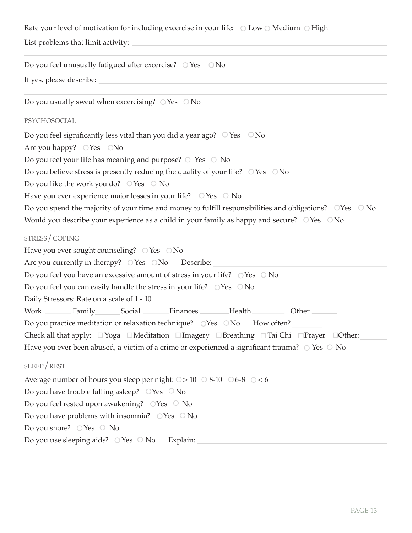Rate your level of motivation for including excercise in your life:  $\circ$  Low  $\circ$  Medium  $\circ$  High

List problems that limit activity:

Do you feel unusually fatigued after excercise?  $\circ$  Yes  $\circ$  No

If yes, please describe:

Do you usually sweat when excercising?  $\bigcirc$  Yes  $\bigcirc$  No psychosocial Do you feel significantly less vital than you did a year ago?  $\circ$  Yes  $\circ$  No Are you happy?  $\bigcirc$  Yes  $\bigcirc$  No Do you feel your life has meaning and purpose?  $\circ$  Yes  $\circ$  No Do you believe stress is presently reducing the quality of your life?  $\bigcirc$  Yes  $\bigcirc$  No Do you like the work you do?  $\circ$  Yes  $\circ$  No Have you ever experience major losses in your life?  $\circ$  Yes  $\circ$  No Do you spend the majority of your time and money to fulfill responsibilities and obligations?  $\bigcirc$  Yes  $\bigcirc$  No Would you describe your experience as a child in your family as happy and secure?  $\bigcirc$  Yes  $\bigcirc$  No stress/coping Have you ever sought counseling?  $\bigcirc$  Yes  $\bigcirc$  No Are you currently in therapy?  $\bigcirc$  Yes  $\bigcirc$  No Describe: Do you feel you have an excessive amount of stress in your life?  $\circ$  Yes  $\circ$  No Do you feel you can easily handle the stress in your life?  $\circ$  Yes  $\circ$  No Daily Stressors: Rate on a scale of 1 - 10 Work Family Social Finances Health Other Do you practice meditation or relaxation technique?  $\bigcirc$ Yes  $\bigcirc$ No How often? Check all that apply:  $\Box$  Yoga  $\Box$ Meditation  $\Box$  Imagery  $\Box$  Breathing  $\Box$  Tai Chi  $\Box$  Prayer  $\Box$  Other: Have you ever been abused, a victim of a crime or experienced a significant trauma?  $\circ$  Yes  $\circ$  No sleep/rest Average number of hours you sleep per night:  $\circ$  > 10  $\circ$  8-10  $\circ$  6-8  $\circ$  < 6 Do you have trouble falling asleep?  $\circ$  Yes  $\circ$  No Do you feel rested upon awakening?  $\circ$  Yes  $\circ$  No Do you have problems with insomnia?  $\circ$  Yes  $\circ$  No Do you snore?  $\bigcirc$  Yes  $\bigcirc$  No Do you use sleeping aids?  $\circ$  Yes  $\circ$  No Explain: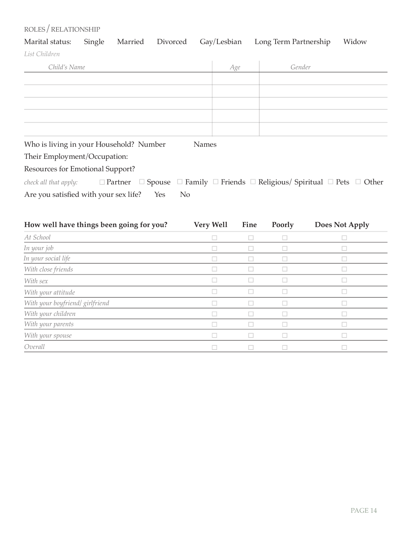## $ROLES / RELATIONSHIP$

|               |  |  | Marital status: Single Married Divorced Gay/Lesbian Long Term Partnership Widow |  |
|---------------|--|--|---------------------------------------------------------------------------------|--|
| List Children |  |  |                                                                                 |  |

| Child's Name                                                   | Age | Gender                                                                                          |
|----------------------------------------------------------------|-----|-------------------------------------------------------------------------------------------------|
|                                                                |     |                                                                                                 |
|                                                                |     |                                                                                                 |
|                                                                |     |                                                                                                 |
|                                                                |     |                                                                                                 |
|                                                                |     |                                                                                                 |
| Who is living in your Household? Number<br><b>Names</b>        |     |                                                                                                 |
| Their Employment/Occupation:                                   |     |                                                                                                 |
| Resources for Emotional Support?                               |     |                                                                                                 |
| check all that apply:<br>$\Box$ Partner                        |     | $\Box$ Spouse $\Box$ Family $\Box$ Friends $\Box$ Religious/ Spiritual $\Box$ Pets $\Box$ Other |
| Are you satisfied with your sex life?<br>Yes<br>N <sub>o</sub> |     |                                                                                                 |

| How well have things been going for you? | Very Well | Fine | Poorly | Does Not Apply |
|------------------------------------------|-----------|------|--------|----------------|
| At School                                |           |      |        |                |
| In your job                              |           |      |        |                |
| In your social life                      |           |      |        |                |
| With close friends                       |           |      |        |                |
| With sex                                 |           |      |        |                |
| With your attitude                       | n.        |      |        | J.             |
| With your boyfriend/ girlfriend          |           |      |        | ┙              |
| With your children                       |           |      |        |                |
| With your parents                        |           |      |        |                |
| With your spouse                         |           |      |        |                |
| Overall                                  |           |      |        |                |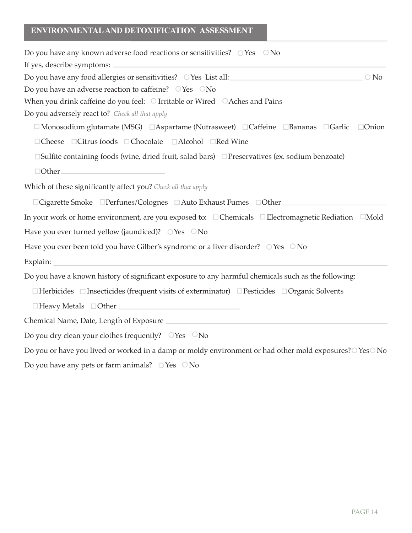## **ENVIRONMENTAL AND DETOXIFICATION ASSESSMENT**

| Do you have any known adverse food reactions or sensitivities? $\circ$ Yes $\circ$ No                                                                                                                                         |
|-------------------------------------------------------------------------------------------------------------------------------------------------------------------------------------------------------------------------------|
| If yes, describe symptoms:<br>the control of the control of the control of the control of the control of the control of                                                                                                       |
| $\bigcirc$ No                                                                                                                                                                                                                 |
| Do you have an adverse reaction to caffeine? OYes ONo                                                                                                                                                                         |
| When you drink caffeine do you feel: $\bigcirc$ Irritable or Wired $\bigcirc$ Aches and Pains                                                                                                                                 |
| Do you adversely react to? Check all that apply                                                                                                                                                                               |
| $\Box$ Monosodium glutamate (MSG) $\Box$ Aspartame (Nutrasweet) $\Box$ Caffeine $\Box$ Bananas $\Box$ Garlic<br>$\Box$ Onion                                                                                                  |
| □Cheese □Citrus foods □Chocolate □Alcohol □Red Wine                                                                                                                                                                           |
| $\square$ Sulfite containing foods (wine, dried fruit, salad bars) $\square$ Preservatives (ex. sodium benzoate)                                                                                                              |
| $\Box$ Other                                                                                                                                                                                                                  |
| Which of these significantly affect you? Check all that apply                                                                                                                                                                 |
| □ Cigarette Smoke □ Perfunes/Colognes □ Auto Exhaust Fumes □ Other                                                                                                                                                            |
| In your work or home environment, are you exposed to: □ Chemicals □ Electromagnetic Rediation □ Mold                                                                                                                          |
| Have you ever turned yellow (jaundiced)? OYes ONo                                                                                                                                                                             |
| Have you ever been told you have Gilber's syndrome or a liver disorder? OYes ONo                                                                                                                                              |
|                                                                                                                                                                                                                               |
| Do you have a known history of significant exposure to any harmful chemicals such as the following:                                                                                                                           |
| $\Box$ Herbicides $\Box$ Insecticides (frequent visits of exterminator) $\Box$ Pesticides $\Box$ Organic Solvents                                                                                                             |
| □ Heavy Metals □ Other National Account of the Second Library Metals → Details → National Account of the Second Library Second Library Second Library Second Library Second Library Second Library Second Library Second Libr |
|                                                                                                                                                                                                                               |
| Do you dry clean your clothes frequently? $\circ$ Yes $\circ$ No                                                                                                                                                              |
| Do you or have you lived or worked in a damp or moldy environment or had other mold exposures? OYesONo                                                                                                                        |

Do you have any pets or farm animals?  $\circ$  Yes  $\circ$  No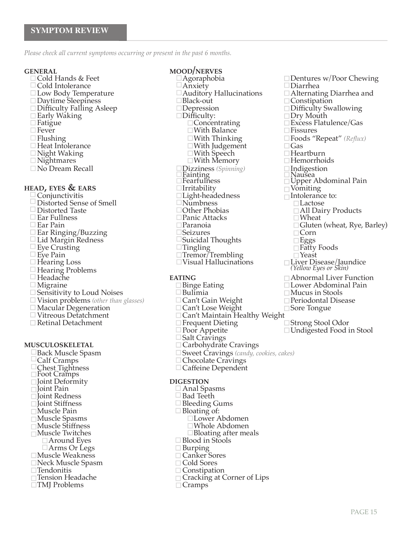*Please check all current symptoms occurring or present in the past 6 months.*

- 
- 
- 
- 
- 
- 
- 
- 
- 
- 
- 
- 

- 
- 
- 
- 
- 
- 
- 
- 
- 
- 
- Hearing Problems *(Yellow Eyes or Skin)*
	-
	-
	-
	- $\square$  Sensitivity to Loud Noises  $\square$  Bulimia  $\square$  Mucus in Stools  $\square$  Mucus in Stools  $\square$  Periodontal Disease  $\square$  Periodontal Disease Vision problems *(other than glasses)* Can't Gain Weight Periodontal Disease
	-
	-
	-

# ■ Poor Appetite<br>■ Salt Cravings<br>■ Carbohydrate

Back Muscle Spasm  $\Box$  Sweet Cravings (*candy, cookies, cakes*)<br>Calf Cramps  $\Box$  Chocolate Cravings Calf Cramps  $\Box$  Chocolate Cravings Chest Tightness  $\Box$  Calfeine Dependent Chest Tightness Caffeine Dependent Foot Cramps **□Joint Deformity**<br>□Joint Pain  $\Box$  Joint Redness<br> $\Box$  Joint Stiffness  $\Box$  Joint Stiffness<br>  $\Box$  Muscle Pain  $\Box$  Bloating of: Muscle Pain Bloating of: Muscle Spasms Lower Abdomen Muscle Stiffness Whole Abdomen **Example 18 Decimalisation** Bloating after meals and Decimalism Decimalism Decimalism Decimalism Decimalism Decim<br>■ Blood in Stools □ Around Eyes Blood in Stools<br>□ Arms Or Legs Burping  $\Box$ Muscle Weakness Canker Sores<br>  $\Box$ Neck Muscle Spasm Cancel Cold Sores  $\Box$ Neck Muscle Spasm<br> $\Box$ Tendonitis Tendonitis Constipation  $\square$ TMJ Problems

- **GENERAL MOOD/NERVES**<br>  $\Box$ Cold Hands & Feet  $\Box$ Agoraphobia  $\Box$ Dentures w/Poor Chewing  $\Box$ Cold Intolerance  $\Box$ Anxiety  $\Box$ Diarrhea □ Fatigue  $\Box$  Concentrating  $\Box$  Excess Flatulence/Gas<br>□ Fever  $\Box$  Fissures □ Fever With Balance<br>■ Flushing Thinking Thinking Thinking Thinking Thinking Flushing With Thinking Foods "Repeat" *(Reflux)*  $\square$ With Judgement  $\square$  Gas  $\square$  With Speech  $\square$  Heartburn Night Waking With Speech Heartburn  $\Box$  With Memory ■ No Dream Recall **Indigestion** Indigestion Indigestion<br>
Fainting Indigestion<br>
Fearfulness Indigent Abdominal Pain **head is the Community Section Section 2**<br> **head** Irritability<br> **headedness**<br> **headedness**<br> **headedness**<br> **headedness**<br> **headedness** <u>□Light-headedness</u><br>□Numbness Intolerance to:  $\Box$ Distorted Sense of Smell  $\Box$ Numbness<br> $\Box$ Distorted Taste  $\Box$ Other Phobias Distorted Taste Other Phobias All Dairy Products Ear Fullness Panic Attacks Wheat Ear Pain Paranoia Gluten (wheat, Rye, Barley) Ear Ringing/Buzzing Seizures Corn □ Lid Margin Redness Suicidal Thoughts Suicidal Thoughts Suicidal Thoughts Suicidal Thoughts Suicidal Thoughts Suicidal Thoughts Suicidal Thoughts Suicidal Thoughts Suicidal Thoughts Suicidal Thoughts Suicidal Thoughts Su Eye Crusting Tingling Fatty Foods
- $\square$  Eye Pain  $\square$  Tremor/Trembling  $\square$  Hearing Loss  $\square$  Visual Hallucinations  $\square$  Hearing Loss  $\square$  Visual Hallucinations  $\square$  Liver Disease/Jaundice

- 
- 
- 
- 
- 
- 
- 
- 
- **musculoskeletal** Carbohydrate Cravings
	-
	-
	-

- 
- □ Anal Spasms<br>□ Bad Teeth
- 
- -
	-
	-
- 
- 
- 
- 
- 
- □ Cracking at Corner of Lips<br>□ Cramps
	-

Low Body Temperature Auditory Hallucinations Alternating Diarrhea and Daytime Sleepiness Black-out Constipation Difficulty Falling Asleep Depression Difficulty Swallowing Early Waking Difficulty: Dry Mouth

- 
- 
- 
- 
- 
- 
- 
- 
- 
- Hearing Problems (*Yellow Eyes or Skin)*<br>■ Headache **eating and EATING**<br>■ Migraine **eating and Eating and Eating and EATING** and Eating and Eating and Eating and Eating and Eating and E
	- Migraine Binge Eating Lower Abdominal Pain
		-
		-
		-
- Macular Degeneration  $\Box$  Can't Lose Weight  $\Box$  Sore Tongue<br>  $\Box$  Vitreous Detatchment  $\Box$  Can't Maintain Healthy Weight  $\Box$  Strong Stool Odor  $\Box$  Poor Appetite  $\Box$  Undigested Food in Stool
	-